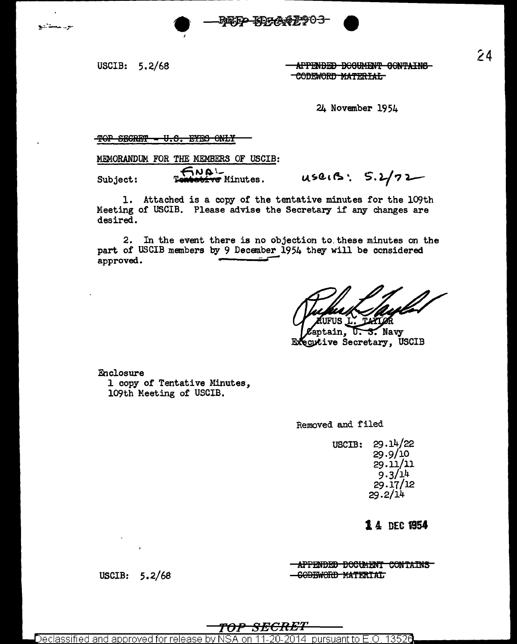APPENDED DOCUMENT CONTAINS CODEWORD MATERIAL

24 November 1954

## TOP SECRET = U.S. EYES ONLY

MEMORANDUM FOR THE MEMBERS OF USCIB:

**- aur** Subject: bive Minutes.

USRIB: 5.2/72

1. Attached is a copy of the tentative minutes for the 109th Meeting of USCIB. Please advise the Secretary if any changes are desired.

NFP KD7A67903

2. In the event there is no objection to.these minutes on the part of USCIB members by 9 December 1954 they will be ccnsidered approved.

aptain, S. Navy ᡁ᠆ Executive Secretary, USCIB

Enclosure 1 copy of Tentative Minutes, 109th Meeting of USCIB.

Removed and filed

USCIB: 29.14/22 29.9/10 29.11/11  $9.3/14$ 29.17/12  $29.2/14$ 

14 DEC 1954

**-APPENDED DOCUMENT CONTAINS** SOBBWORD MATERIAL

USCIB: 5.2/68

<del>SECRET</del>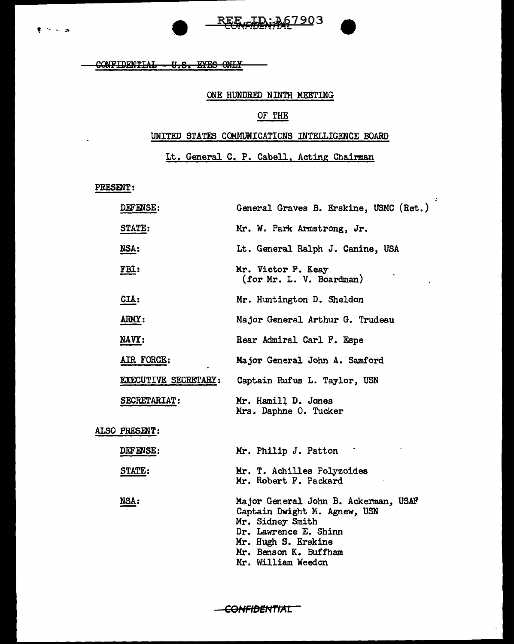CONFIDENTIAL - U.S. EYES ONLY

## ONE HUNDRED NINTH MEETING

REE ID; 367903

## OF THE

## UNITED STATES COMMUNICATICNS INTELLIGENCE BOARD

Lt. General C. P. Cabell, Acting Chairman

 $\mathcal{L}$ 

PRESENT:

|               | DEFENSE:             | General Graves B. Erskine, USMC (Ret.)                                                                                                                            |
|---------------|----------------------|-------------------------------------------------------------------------------------------------------------------------------------------------------------------|
|               | STATE:               | Mr. W. Park Armstrong, Jr.                                                                                                                                        |
| <u>NSA:</u>   |                      | Lt. General Ralph J. Canine, USA                                                                                                                                  |
| <u>FBI:</u>   |                      | Mr. Victor P. Keay<br>(for Mr. L. V. Boardman)                                                                                                                    |
| $CLA$ :       |                      | Mr. Huntington D. Sheldon                                                                                                                                         |
| ARMY:         |                      | Major General Arthur G. Trudeau                                                                                                                                   |
| NAVY:         |                      | Rear Admiral Carl F. Espe                                                                                                                                         |
|               | AIR FORCE:           | Major General John A. Samford                                                                                                                                     |
|               | EXECUTIVE SECRETARY: | Captain Rufus L. Taylor, USN                                                                                                                                      |
|               | SECRETARIAT:         | Mr. Hamill D. Jones<br>Mrs. Daphne O. Tucker                                                                                                                      |
| ALSO PRESENT: |                      |                                                                                                                                                                   |
|               | DEFENSE:             | Mr. Philip J. Patton                                                                                                                                              |
|               | <b>STATE:</b>        | Mr. T. Achilles Polyzoides<br>Mr. Robert F. Packard                                                                                                               |
| NSA:          |                      | Major General John B. Ackerman, USAF<br>Captain Dwight M. Agnew, USN<br>Mr. Sidney Smith<br>Dr. Lawrence E. Shinn<br>Mr. Hugh S. Erskine<br>Mr. Benson K. Buffham |

Mr. William Weedon

-CONFIDENTIAL<sup>--</sup>